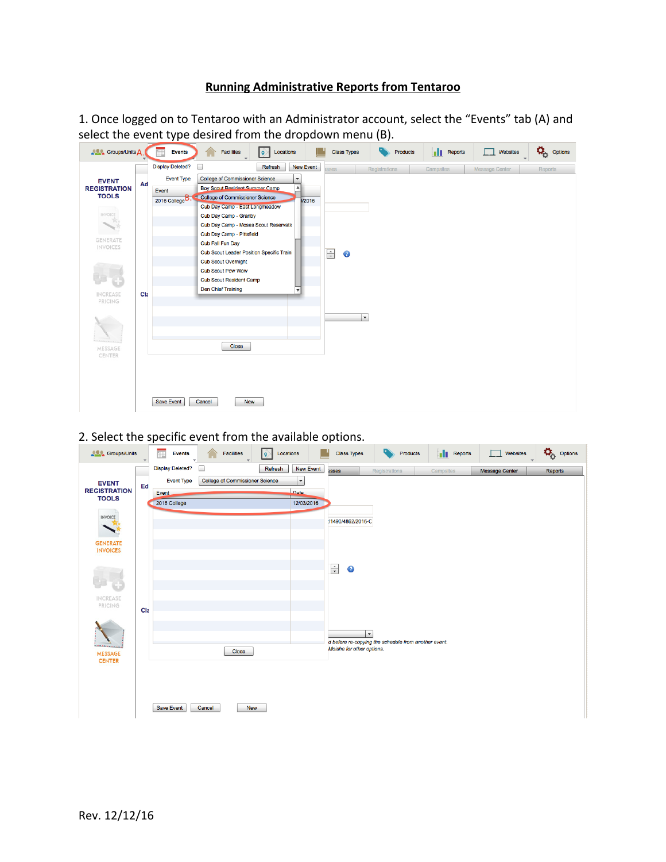## **Running Administrative Reports from Tentaroo**

1. Once logged on to Tentaroo with an Administrator account, select the "Events" tab (A) and select the event type desired from the dropdown menu (B).

| <b>ALL</b> Groups/Units A                                                                                                                                                                                                                                                                                                                                                                              |     | <b>Events</b>              | <b>Facilities</b>                                       | Locations<br>$\vert \mathbf{Q} \vert$ | <b>Class Types</b>  |                      | Products | <b>Reports</b> | Websites       | $\overleftrightarrow{\mathbf{Q}}_{\text{cyc}}$ Options |
|--------------------------------------------------------------------------------------------------------------------------------------------------------------------------------------------------------------------------------------------------------------------------------------------------------------------------------------------------------------------------------------------------------|-----|----------------------------|---------------------------------------------------------|---------------------------------------|---------------------|----------------------|----------|----------------|----------------|--------------------------------------------------------|
|                                                                                                                                                                                                                                                                                                                                                                                                        |     | <b>Display Deleted?</b>    | $\Box$                                                  | <b>New Event</b><br>Refresh           | sses                | Registrations        |          | Campsites      | Message Center | Reports                                                |
| <b>EVENT</b>                                                                                                                                                                                                                                                                                                                                                                                           | Ad  | <b>Event Type</b>          | <b>College of Commissioner Science</b>                  | $\overline{\phantom{a}}$              |                     |                      |          |                |                |                                                        |
| <b>REGISTRATION</b>                                                                                                                                                                                                                                                                                                                                                                                    |     | Event                      | <b>Boy Scout Resident Summer Camp</b>                   | ▲                                     |                     |                      |          |                |                |                                                        |
| <b>TOOLS</b>                                                                                                                                                                                                                                                                                                                                                                                           |     | 2016 College <sup>B.</sup> | College of Commissioner Science<br>а                    | <b>V2016</b>                          |                     |                      |          |                |                |                                                        |
| INVOICE                                                                                                                                                                                                                                                                                                                                                                                                |     |                            | Cub Day Camp - East Longmeadow<br>Cub Day Camp - Granby |                                       |                     |                      |          |                |                |                                                        |
| $\mathcal{P}_{\mathrm{CS}}$<br>$\begin{picture}(20,20) \put(0,0){\dashbox{0.5}(20,0){ }} \put(15,0){\dashbox{0.5}(20,0){ }} \put(15,0){\dashbox{0.5}(20,0){ }} \put(15,0){\dashbox{0.5}(20,0){ }} \put(15,0){\dashbox{0.5}(20,0){ }} \put(15,0){\dashbox{0.5}(20,0){ }} \put(15,0){\dashbox{0.5}(20,0){ }} \put(15,0){\dashbox{0.5}(20,0){ }} \put(15,0){\dashbox{0.5}(20,0){ }} \put(15,0){\dashbox{$ |     |                            | Cub Day Camp - Moses Scout Reservatio                   |                                       |                     |                      |          |                |                |                                                        |
|                                                                                                                                                                                                                                                                                                                                                                                                        |     |                            | Cub Day Camp - Pittsfield                               |                                       |                     |                      |          |                |                |                                                        |
| <b>GENERATE</b><br><b>INVOICES</b>                                                                                                                                                                                                                                                                                                                                                                     |     |                            | Cub Fall Fun Day                                        |                                       |                     |                      |          |                |                |                                                        |
|                                                                                                                                                                                                                                                                                                                                                                                                        |     |                            | <b>Cub Scout Leader Position Specific Train</b>         |                                       | $\div$<br>$\bullet$ |                      |          |                |                |                                                        |
|                                                                                                                                                                                                                                                                                                                                                                                                        |     |                            | <b>Cub Scout Overnight</b>                              |                                       |                     |                      |          |                |                |                                                        |
|                                                                                                                                                                                                                                                                                                                                                                                                        |     |                            | <b>Cub Scout Pow Wow</b>                                |                                       |                     |                      |          |                |                |                                                        |
|                                                                                                                                                                                                                                                                                                                                                                                                        |     |                            | <b>Cub Scout Resident Camp</b>                          |                                       |                     |                      |          |                |                |                                                        |
| <b>INCREASE</b>                                                                                                                                                                                                                                                                                                                                                                                        | Cla |                            | <b>Den Chief Training</b>                               | $\overline{\mathbf{v}}$               |                     |                      |          |                |                |                                                        |
| <b>PRICING</b>                                                                                                                                                                                                                                                                                                                                                                                         |     |                            |                                                         |                                       |                     |                      |          |                |                |                                                        |
|                                                                                                                                                                                                                                                                                                                                                                                                        |     |                            |                                                         |                                       |                     | $\blacktriangledown$ |          |                |                |                                                        |
|                                                                                                                                                                                                                                                                                                                                                                                                        |     |                            |                                                         |                                       |                     |                      |          |                |                |                                                        |
|                                                                                                                                                                                                                                                                                                                                                                                                        |     |                            |                                                         |                                       |                     |                      |          |                |                |                                                        |
| MESSAGE                                                                                                                                                                                                                                                                                                                                                                                                |     |                            | <b>Close</b>                                            |                                       |                     |                      |          |                |                |                                                        |
| CENTER                                                                                                                                                                                                                                                                                                                                                                                                 |     |                            |                                                         |                                       |                     |                      |          |                |                |                                                        |
|                                                                                                                                                                                                                                                                                                                                                                                                        |     |                            |                                                         |                                       |                     |                      |          |                |                |                                                        |
|                                                                                                                                                                                                                                                                                                                                                                                                        |     |                            |                                                         |                                       |                     |                      |          |                |                |                                                        |
|                                                                                                                                                                                                                                                                                                                                                                                                        |     |                            |                                                         |                                       |                     |                      |          |                |                |                                                        |
|                                                                                                                                                                                                                                                                                                                                                                                                        |     | <b>Save Event</b>          | Cancel<br><b>New</b>                                    |                                       |                     |                      |          |                |                |                                                        |
|                                                                                                                                                                                                                                                                                                                                                                                                        |     |                            |                                                         |                                       |                     |                      |          |                |                |                                                        |

2. Select the specific event from the available options.

| <b>ALC</b> Groups/Units             |     | $\blacksquare$<br><b>Events</b> | Facilities                             | $ \hat{\bullet}\rangle$<br>Locations |                      | <b>Class Types</b>        | o.<br>Products                                                               | <b>I</b> Reports | Websites<br>l T       | $\overline{\mathbf{Q}}_{\dot{\mathbf{Q}}}$ Options |
|-------------------------------------|-----|---------------------------------|----------------------------------------|--------------------------------------|----------------------|---------------------------|------------------------------------------------------------------------------|------------------|-----------------------|----------------------------------------------------|
|                                     |     | <b>Display Deleted?</b>         | ш                                      | Refresh                              | <b>New Event</b>     | asses                     | Registrations                                                                | Campsites        | <b>Message Center</b> | Reports                                            |
| <b>EVENT</b>                        | Ed  | <b>Event Type</b>               | <b>College of Commissioner Science</b> |                                      | $\blacktriangledown$ |                           |                                                                              |                  |                       |                                                    |
| <b>REGISTRATION</b><br><b>TOOLS</b> |     | Event                           |                                        |                                      | Date                 |                           |                                                                              |                  |                       |                                                    |
|                                     |     | 2016 College                    |                                        |                                      | 12/03/2016           |                           |                                                                              |                  |                       |                                                    |
| <b>INVOICE</b><br>$-743$            |     |                                 |                                        |                                      |                      | /1490/4862/2016-C         |                                                                              |                  |                       |                                                    |
|                                     |     |                                 |                                        |                                      |                      |                           |                                                                              |                  |                       |                                                    |
| <b>GENERATE</b><br><b>INVOICES</b>  |     |                                 |                                        |                                      |                      |                           |                                                                              |                  |                       |                                                    |
|                                     |     |                                 |                                        |                                      |                      |                           |                                                                              |                  |                       |                                                    |
|                                     |     |                                 |                                        |                                      |                      | $\frac{1}{x}$<br>3        |                                                                              |                  |                       |                                                    |
|                                     |     |                                 |                                        |                                      |                      |                           |                                                                              |                  |                       |                                                    |
| <b>INCREASE</b>                     |     |                                 |                                        |                                      |                      |                           |                                                                              |                  |                       |                                                    |
| PRICING                             | Cla |                                 |                                        |                                      |                      |                           |                                                                              |                  |                       |                                                    |
|                                     |     |                                 |                                        |                                      |                      |                           |                                                                              |                  |                       |                                                    |
|                                     |     |                                 |                                        |                                      |                      |                           | $\blacktriangledown$<br>d before re-copying the schedule from another event. |                  |                       |                                                    |
| <b></b><br>MESSAGE                  |     |                                 | Close                                  |                                      |                      | Moishe for other options. |                                                                              |                  |                       |                                                    |
| <b>CENTER</b>                       |     |                                 |                                        |                                      |                      |                           |                                                                              |                  |                       |                                                    |
|                                     |     |                                 |                                        |                                      |                      |                           |                                                                              |                  |                       |                                                    |
|                                     |     |                                 |                                        |                                      |                      |                           |                                                                              |                  |                       |                                                    |
|                                     |     |                                 |                                        |                                      |                      |                           |                                                                              |                  |                       |                                                    |
|                                     |     | Save Event                      | Cancel<br><b>New</b>                   |                                      |                      |                           |                                                                              |                  |                       |                                                    |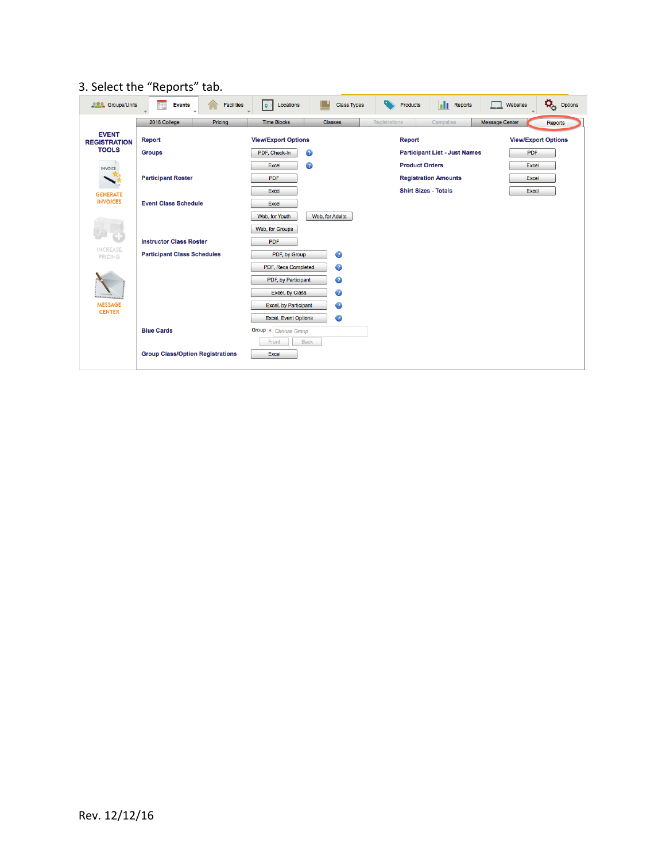## 3. Select the "Reports" tab.

| <b>ALC</b> Groups/Units             | Ξ<br>Facilities<br><b>Events</b>        | <b>Class Types</b><br>lô.<br>Locations | <b>Neports</b><br>Products           | $\boldsymbol{\varphi}_{\!\scriptscriptstyle \alpha}$<br>Options<br>Websites |
|-------------------------------------|-----------------------------------------|----------------------------------------|--------------------------------------|-----------------------------------------------------------------------------|
|                                     | 2016 College<br>Pricing                 | <b>Time Blocks</b><br><b>Classes</b>   | Registrations<br>Campsites           | <b>Message Center</b><br>Reports                                            |
| <b>EVENT</b><br><b>REGISTRATION</b> | <b>Report</b>                           | <b>View/Export Options</b>             | Report                               | <b>View/Export Options</b>                                                  |
| <b>TOOLS</b>                        | <b>Groups</b>                           | $\bullet$<br>PDF, Check-In             | <b>Participant List - Just Names</b> | <b>PDF</b>                                                                  |
| <b>INVOICE</b>                      |                                         | $\bullet$<br>Excel                     | <b>Product Orders</b>                | Excel                                                                       |
|                                     | <b>Participant Roster</b>               | PDF                                    | <b>Registration Amounts</b>          | Excel                                                                       |
| <b>GENERATE</b>                     |                                         | Excel                                  | <b>Shirt Sizes - Totals</b>          | Excel                                                                       |
| <b>INVOICES</b>                     | <b>Event Class Schedule</b>             | Excel                                  |                                      |                                                                             |
|                                     |                                         | Web, for Youth<br>Web, for Adults      |                                      |                                                                             |
|                                     |                                         | Web, for Groups                        |                                      |                                                                             |
|                                     | <b>Instructor Class Roster</b>          | <b>PDF</b>                             |                                      |                                                                             |
| <b>INCREASE</b><br>PRICING          | <b>Participant Class Schedules</b>      | ◉<br>PDF, by Group                     |                                      |                                                                             |
|                                     |                                         | ◉<br>PDF, Reqs Completed               |                                      |                                                                             |
|                                     |                                         | ◉<br>PDF, by Participant               |                                      |                                                                             |
| <b><i><u>ARANAL</u></i></b>         |                                         | $\bullet$<br>Excel, by Class           |                                      |                                                                             |
| <b>MESSAGE</b>                      |                                         | ◉<br>Excel, by Participant             |                                      |                                                                             |
| <b>CENTER</b>                       |                                         | ◐<br><b>Excel, Event Options</b>       |                                      |                                                                             |
|                                     | <b>Blue Cards</b>                       | Group * Choose Group                   |                                      |                                                                             |
|                                     |                                         | <b>Back</b><br>Front                   |                                      |                                                                             |
|                                     | <b>Group Class/Option Registrations</b> | Excel                                  |                                      |                                                                             |
|                                     |                                         |                                        |                                      |                                                                             |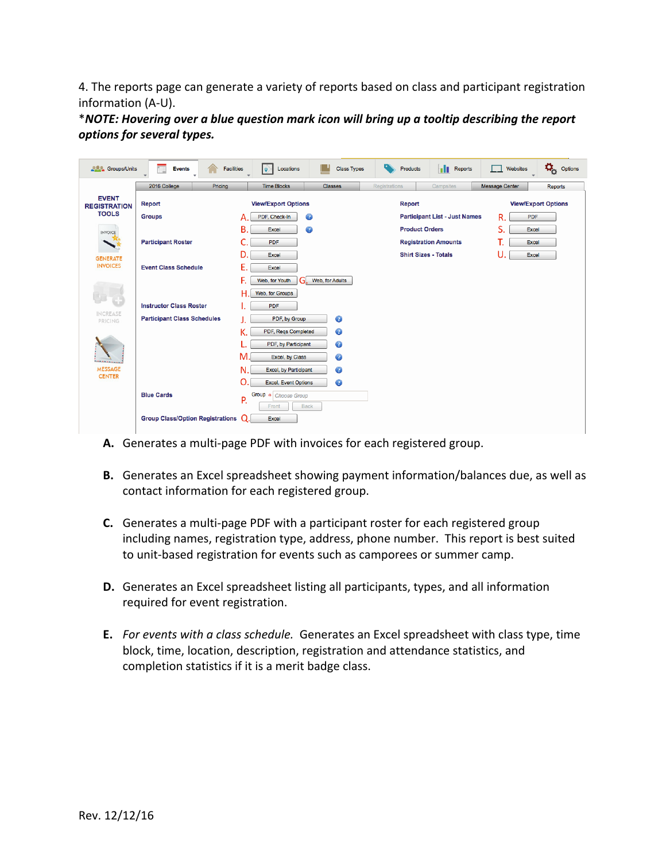4. The reports page can generate a variety of reports based on class and participant registration information (A-U).

\**NOTE: Hovering over a blue question mark icon will bring up a tooltip describing the report options for several types.*

| <b>ALC</b> Groups/Units             | m<br><b>Facilities</b><br><b>Events</b> | Locations<br>l o                    | <b>Class Types</b> | Products                    | ш<br>Reports                         | Websites              | ٥,<br>Options              |
|-------------------------------------|-----------------------------------------|-------------------------------------|--------------------|-----------------------------|--------------------------------------|-----------------------|----------------------------|
|                                     | 2016 College<br>Pricing                 | <b>Time Blocks</b>                  | <b>Classes</b>     | <b>Registrations</b>        | Campsites                            | <b>Message Center</b> | Reports                    |
| <b>EVENT</b><br><b>REGISTRATION</b> | <b>Report</b>                           | <b>View/Export Options</b>          |                    | <b>Report</b>               |                                      |                       | <b>View/Export Options</b> |
| <b>TOOLS</b>                        | <b>Groups</b>                           | PDF, Check-In<br>А                  | Ø                  |                             | <b>Participant List - Just Names</b> | R.<br><b>PDF</b>      |                            |
| <b>INVOICE</b>                      |                                         | B.<br>Excel                         | ◉                  | <b>Product Orders</b>       |                                      | S.<br>Excel           |                            |
|                                     | <b>Participant Roster</b>               | C.<br>PDF                           |                    |                             | <b>Registration Amounts</b>          | Т.<br>Excel           |                            |
| <b>GENERATE</b>                     |                                         | D.<br>Excel                         |                    | <b>Shirt Sizes - Totals</b> |                                      | U.<br>Excel           |                            |
| <b>INVOICES</b>                     | <b>Event Class Schedule</b>             | Ε.<br>Excel                         |                    |                             |                                      |                       |                            |
|                                     |                                         | F.<br>GI.<br>Web, for Youth         | Web, for Adults    |                             |                                      |                       |                            |
|                                     |                                         | н<br>Web, for Groups                |                    |                             |                                      |                       |                            |
|                                     | <b>Instructor Class Roster</b>          | <b>PDF</b><br>۱.                    |                    |                             |                                      |                       |                            |
| <b>INCREASE</b><br>PRICING          | <b>Participant Class Schedules</b>      | PDF, by Group                       | ◉                  |                             |                                      |                       |                            |
|                                     |                                         | К.<br>PDF, Reqs Completed           | ◉                  |                             |                                      |                       |                            |
|                                     |                                         | L.<br>PDF, by Participant           | $\bullet$          |                             |                                      |                       |                            |
|                                     |                                         | М.<br>Excel, by Class               | $\bullet$          |                             |                                      |                       |                            |
| <b>MESSAGE</b>                      |                                         | N.<br>Excel, by Participant         | ◉                  |                             |                                      |                       |                            |
| <b>CENTER</b>                       |                                         | O<br>Excel, Event Options           | $\bullet$          |                             |                                      |                       |                            |
|                                     | <b>Blue Cards</b>                       | Group * Choose Group<br>P.<br>Front | <b>Back</b>        |                             |                                      |                       |                            |
|                                     | <b>Group Class/Option Registrations</b> | $\Omega$<br>Excel                   |                    |                             |                                      |                       |                            |

- A. Generates a multi-page PDF with invoices for each registered group.
- **B.** Generates an Excel spreadsheet showing payment information/balances due, as well as contact information for each registered group.
- **C.** Generates a multi-page PDF with a participant roster for each registered group including names, registration type, address, phone number. This report is best suited to unit-based registration for events such as camporees or summer camp.
- **D.** Generates an Excel spreadsheet listing all participants, types, and all information required for event registration.
- **E.** For events with a class schedule. Generates an Excel spreadsheet with class type, time block, time, location, description, registration and attendance statistics, and completion statistics if it is a merit badge class.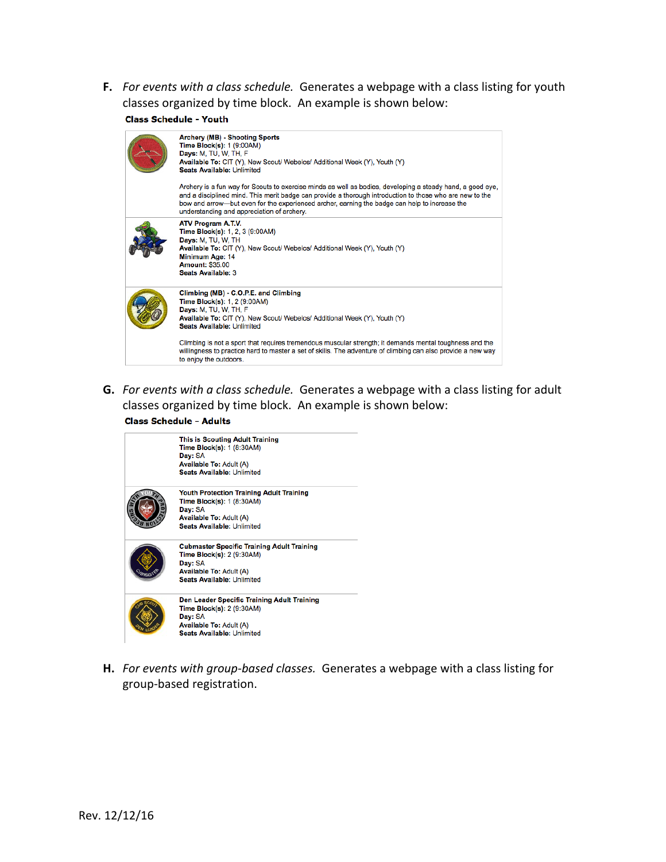F. For events with a class schedule. Generates a webpage with a class listing for youth classes organized by time block. An example is shown below:

**Class Schedule - Youth** 

| Archery (MB) - Shooting Sports<br>Time Block(s): 1 (9:00AM)<br><b>Days: M, TU, W, TH, F</b><br>Available To: CIT (Y), New Scout/ Webelos/ Additional Week (Y), Youth (Y)<br><b>Seats Available: Unlimited</b>                                                                                                                                                         |
|-----------------------------------------------------------------------------------------------------------------------------------------------------------------------------------------------------------------------------------------------------------------------------------------------------------------------------------------------------------------------|
| Archery is a fun way for Scouts to exercise minds as well as bodies, developing a steady hand, a good eye,<br>and a disciplined mind. This merit badge can provide a thorough introduction to those who are new to the<br>bow and arrow—but even for the experienced archer, earning the badge can help to increase the<br>understanding and appreciation of archery. |
| ATV Program A.T.V.<br>Time Block(s): 1, 2, 3 (9:00AM)<br>Days: M, TU, W, TH<br>Available To: CIT (Y), New Scout/ Webelos/ Additional Week (Y), Youth (Y)<br>Minimum Age: 14<br><b>Amount: \$35.00</b><br><b>Seats Available: 3</b>                                                                                                                                    |
| Climbing (MB) - C.O.P.E. and Climbing<br>Time Block(s): 1, 2 (9:00AM)<br>Days: M, TU, W, TH, F<br>Available To: CIT (Y), New Scout/ Webelos/ Additional Week (Y), Youth (Y)<br><b>Seats Available: Unlimited</b>                                                                                                                                                      |
| Climbing is not a sport that requires tremendous muscular strength; it demands mental toughness and the<br>willingness to practice hard to master a set of skills. The adventure of climbing can also provide a new way<br>to enjoy the outdoors.                                                                                                                     |

**G.** For events with a class schedule. Generates a webpage with a class listing for adult classes organized by time block. An example is shown below:<br>Class Schedule - Adults

| This is Scouting Adult Training<br>Time Block(s): 1 (8:30AM)<br>Day: SA<br><b>Available To: Adult (A)</b> |
|-----------------------------------------------------------------------------------------------------------|
| <b>Seats Available: Unlimited</b>                                                                         |
| <b>Youth Protection Training Adult Training</b>                                                           |
| Time Block(s): 1 (8:30AM)                                                                                 |
| Day: SA                                                                                                   |
| <b>Available To: Adult (A)</b>                                                                            |
| <b>Seats Available: Unlimited</b>                                                                         |
| <b>Cubmaster Specific Training Adult Training</b>                                                         |
| Time Block(s): 2 (9:30AM)                                                                                 |
| Day: SA                                                                                                   |
| <b>Available To: Adult (A)</b>                                                                            |
| <b>Seats Available: Unlimited</b>                                                                         |
| Den Leader Specific Training Adult Training                                                               |
| Time Block(s): 2 (9:30AM)                                                                                 |
| Day: SA                                                                                                   |
| <b>Available To: Adult (A)</b>                                                                            |
| <b>Seats Available: Unlimited</b>                                                                         |

H. For events with group-based classes. Generates a webpage with a class listing for group-based registration.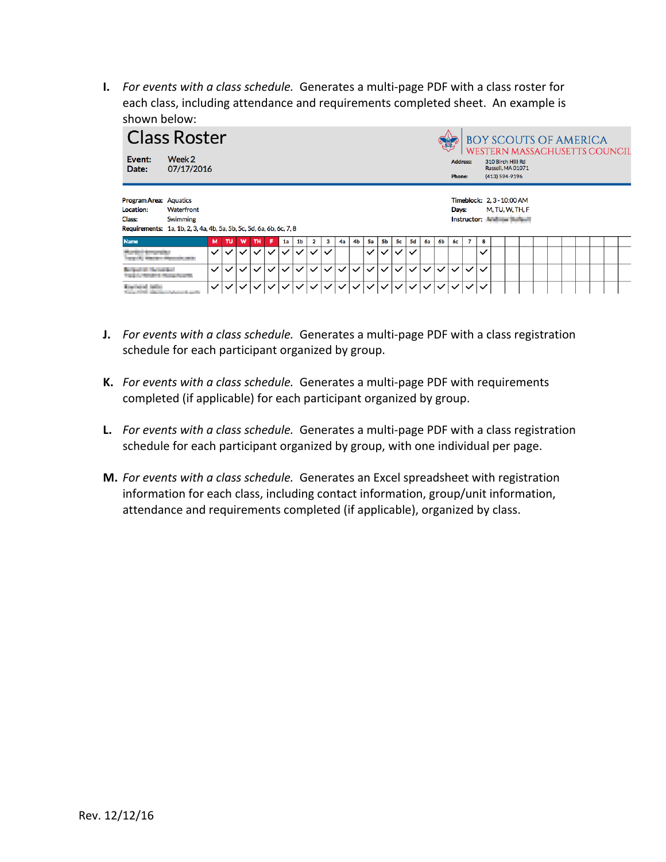**I.** For events with a class schedule. Generates a multi-page PDF with a class roster for each class, including attendance and requirements completed sheet. An example is shown below:

|                                                      | <b>Class Roster</b>                                                                            |              |              |              |                             |              |              |                |              |                                        |              |              |              |              |              |              |              |              |                           |              |              | BOY SCOUTS OF AMERICA<br>WESTERN MASSACHUSETTS COUNCIL                  |  |  |  |  |  |
|------------------------------------------------------|------------------------------------------------------------------------------------------------|--------------|--------------|--------------|-----------------------------|--------------|--------------|----------------|--------------|----------------------------------------|--------------|--------------|--------------|--------------|--------------|--------------|--------------|--------------|---------------------------|--------------|--------------|-------------------------------------------------------------------------|--|--|--|--|--|
| Event:<br>Date:                                      | Week 2<br>07/17/2016                                                                           |              |              |              |                             |              |              |                |              |                                        |              |              |              |              |              |              |              |              | <b>Address:</b><br>Phone: |              |              | 310 Birch Hill Rd<br>Russell, MA 01071<br>(413) 594-9196                |  |  |  |  |  |
| <b>Program Area: Aquatics</b><br>Location:<br>Class: | Waterfront<br>Swimming<br>Requirements: 1a, 1b, 2, 3, 4a, 4b, 5a, 5b, 5c, 5d, 6a, 6b, 6c, 7, 8 |              |              |              |                             |              |              |                |              |                                        |              |              |              |              |              |              |              |              | Days:                     |              |              | Timeblock: 2, 3 - 10:00 AM<br>M, TU, W, TH, F<br>Instructor: Instructor |  |  |  |  |  |
| <b>Name</b>                                          |                                                                                                | м            | <b>TU</b>    | w            | тн                          |              | 1a           | 1 <sub>b</sub> | 2            | з                                      | 4a           | 4b           | <b>5a</b>    | 5b           | 5с           | 5d           | 6a           | 6b           | 6с                        | 7            | 8            |                                                                         |  |  |  |  |  |
| <b>PERSONAL PROPERTY</b>                             |                                                                                                | $\checkmark$ | ✓∣           | $\sqrt{1}$   | $\checkmark$                | ・シー          | $\checkmark$ | $\checkmark$   | $\checkmark$ | $\checkmark$                           |              |              | $\checkmark$ | $\checkmark$ | $\checkmark$ | $\checkmark$ |              |              |                           |              | ✓            |                                                                         |  |  |  |  |  |
| and the Charles State                                | <b>Contract of Change Country</b>                                                              | $\checkmark$ | $\checkmark$ | $\checkmark$ | $\checkmark$                | $\checkmark$ | $\checkmark$ | $\checkmark$   | $\checkmark$ | $\checkmark$                           | $\checkmark$ | $\checkmark$ | $\checkmark$ | $\checkmark$ | $\checkmark$ | $\checkmark$ | $\checkmark$ | $\checkmark$ | $\checkmark$              | $\checkmark$ | $\checkmark$ |                                                                         |  |  |  |  |  |
| activities include                                   |                                                                                                | $\checkmark$ |              |              | $\vee$ $\vee$ $\vee$ $\vee$ | $\checkmark$ | $\vee$       |                |              | $ \vee \vee \vee \vee \vee \vee \vee $ |              |              |              |              | $\vee$       | $\checkmark$ | $\checkmark$ | $\checkmark$ | $\checkmark$              | ✓            |              |                                                                         |  |  |  |  |  |

- **J.** For events with a class schedule. Generates a multi-page PDF with a class registration schedule for each participant organized by group.
- **K.** For events with a class schedule. Generates a multi-page PDF with requirements completed (if applicable) for each participant organized by group.
- L. For events with a class schedule. Generates a multi-page PDF with a class registration schedule for each participant organized by group, with one individual per page.
- **M.** For events with a class schedule. Generates an Excel spreadsheet with registration information for each class, including contact information, group/unit information, attendance and requirements completed (if applicable), organized by class.